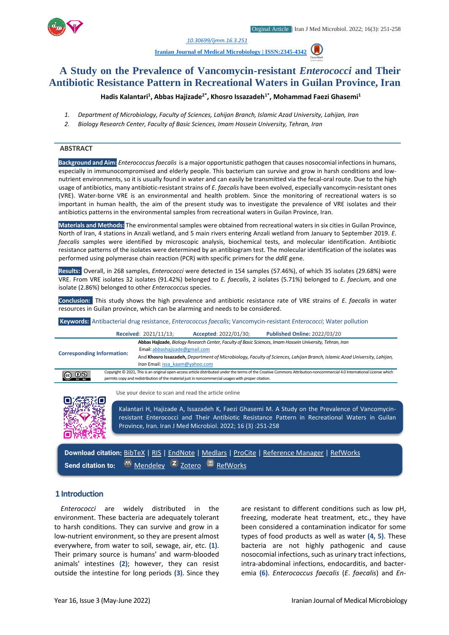*1. [10.30699/ijmm.16.3.251](http://dx.doi.org/10.30699/ijmm.16.3.251)*

**[Iranian Journal of Medical Microbiology |](https://ijmm.ir/) ISSN:2345-4342**

# **A Study on the Prevalence of Vancomycin-resistant** *Enterococci* **and Their Antibiotic Resistance Pattern in Recreational Waters in Guilan Province, Iran**

**Hadis Kalantari<sup>1</sup> , Abbas Hajizade2\*, Khosro Issazadeh1\*, Mohammad Faezi Ghasemi<sup>1</sup>**

- *1. Department of Microbiology, Faculty of Sciences, Lahijan Branch, Islamic Azad University, Lahijan, Iran*
- *2. Biology Research Center, Faculty of Basic Sciences, Imam Hossein University, Tehran, Iran*

### **ABSTRACT**

**Background and Aim:** *Enterococcusfaecalis* is a major opportunistic pathogen that causes nosocomial infections in humans, especially in immunocompromised and elderly people. This bacterium can survive and grow in harsh conditions and lownutrient environments, so it is usually found in water and can easily be transmitted via the fecal-oral route. Due to the high usage of antibiotics, many antibiotic-resistant strains of *E*. *faecalis* have been evolved, especially vancomycin-resistant ones (VRE). Water-borne VRE is an environmental and health problem. Since the monitoring of recreational waters is so important in human health, the aim of the present study was to investigate the prevalence of VRE isolates and their antibiotics patterns in the environmental samples from recreational waters in Guilan Province, Iran.

**Materials and Methods:** The environmental samples were obtained from recreational waters in six cities in Guilan Province, North of Iran, 4 stations in Anzali wetland, and 5 main rivers entering Anzali wetland from January to September 2019. *E*. *faecalis* samples were identified by microscopic analysis, biochemical tests, and molecular identification. Antibiotic resistance patterns of the isolates were determined by an antibiogram test. The molecular identification of the isolates was performed using polymerase chain reaction (PCR) with specific primers for the *ddlE* gene.

**Results:** Overall, in 268 samples, *Enterococci* were detected in 154 samples (57.46%), of which 35 isolates (29.68%) were VRE. From VRE isolates 32 isolates (91.42%) belonged to *E. faecalis*, 2 isolates (5.71%) belonged to *E. faecium,* and one isolate (2.86%) belonged to other *Enterococcus* species.

**Conclusion:** This study shows the high prevalence and antibiotic resistance rate of VRE strains of *E*. *faecalis* in water resources in Guilan province, which can be alarming and needs to be considered.

**Keywords:** Antibacterial drug resistance, *Enterococcus faecalis*; Vancomycin-resistant *Enterococci*; Water pollution

|                                   |  | Received: 2021/11/13;                                                                                                    | Accepted: 2022/01/30;                                                                              | <b>Published Online: 2022/03/20</b>                                                                                                                                     |  |
|-----------------------------------|--|--------------------------------------------------------------------------------------------------------------------------|----------------------------------------------------------------------------------------------------|-------------------------------------------------------------------------------------------------------------------------------------------------------------------------|--|
| <b>Corresponding Information:</b> |  |                                                                                                                          |                                                                                                    | Abbas Hajizade, Biology Research Center, Faculty of Basic Sciences, Imam Hossein University, Tehran, Iran                                                               |  |
|                                   |  | Email: abbashajizade@gmail.com                                                                                           |                                                                                                    |                                                                                                                                                                         |  |
|                                   |  | And Khosro Issazadeh, Department of Microbiology, Faculty of Sciences, Lahijan Branch, Islamic Azad University, Lahijan, |                                                                                                    |                                                                                                                                                                         |  |
|                                   |  | Iran Email: issa kaam@yahoo.com                                                                                          |                                                                                                    |                                                                                                                                                                         |  |
| (ഒ ⊙ ®                            |  |                                                                                                                          |                                                                                                    | Copyright © 2021, This is an original open-access article distributed under the terms of the Creative Commons Attribution-noncommercial 4.0 International License which |  |
|                                   |  |                                                                                                                          | permits copy and redistribution of the material just in noncommercial usages with proper citation. |                                                                                                                                                                         |  |

Use your device to scan and read the article online



Kalantari H, Hajizade A, Issazadeh K, Faezi Ghasemi M. A Study on the Prevalence of Vancomycinresistant Enterococci and Their Antibiotic Resistance Pattern in Recreational Waters in Guilan Province, Iran. Iran J Med Microbiol. 2022; 16 (3) :251-258

**Download citation:** [BibTeX](https://ijmm.ir/web2export.php?a_code=A-10-1809-2&sid=1&slc_lang=en&type=BibTeX) | [RIS](https://ijmm.ir/web2export.php?a_code=A-10-1809-2&sid=1&slc_lang=en&type=ris) | [EndNote](https://ijmm.ir/web2export.php?a_code=A-10-1809-2&sid=1&slc_lang=en&type=EndNote) | [Medlars](https://ijmm.ir/web2export.php?a_code=A-10-1809-2&sid=1&slc_lang=en&type=Medlars) | [ProCite](https://ijmm.ir/web2export.php?a_code=A-10-1809-2&sid=1&slc_lang=en&type=ProCite) | [Reference Manager](https://ijmm.ir/web2export.php?a_code=A-10-1809-2&sid=1&slc_lang=en&type=Reference_Manager) | [RefWorks](https://ijmm.ir/web2export.php?a_code=A-10-1809-2&sid=1&slc_lang=en&type=RefWorks) Send citation to: **[Mendeley](http://www.mendeley.com/import/?url=https://ijmm.ir/article-1-1545-en.html) Z** [Zotero](https://ijmm.ir/web2export.php?a_code=A-10-1809-2&sid=1&slc_lang=en&type=ris) **E** [RefWorks](http://www.refworks.com/express/ExpressImport.asp?vendor=Iran-J-Med-Microbiol&filter=RefWorks%20Tagged%20Format&encoding=65001&url=http%3A%2F%2Fijmm.ir%2Farticle-1-1545-en.html)

### **1 Introduction**

*Enterococci* are widely distributed in the environment. These bacteria are adequately tolerant to harsh conditions. They can survive and grow in a low-nutrient environment, so they are present almost everywhere, from water to soil, sewage, air, etc. **(1)**. Their primary source is humans' and warm-blooded animals' intestines **(2)**; however, they can resist outside the intestine for long periods **(3)**. Since they

are resistant to different conditions such as low pH, freezing, moderate heat treatment, etc., they have been considered a contamination indicator for some types of food products as well as water **(4, 5)**. These bacteria are not highly pathogenic and cause nosocomial infections, such as urinary tract infections, intra-abdominal infections, endocarditis, and bacteremia **(6)**. *Enterococcus faecalis* (*E*. *faecalis*) and *En-*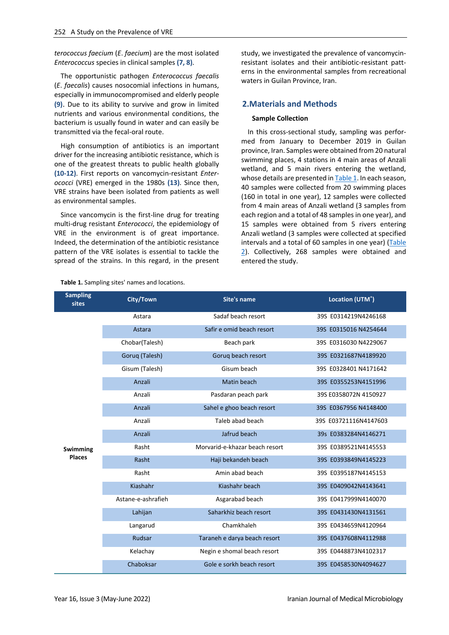*terococcus faecium* (*E*. *faecium*) are the most isolated *Enterococcus* species in clinical samples **(7, 8)**.

The opportunistic pathogen *Enterococcus faecalis* (*E*. *faecalis*) causes nosocomial infections in humans, especially in immunocompromised and elderly people **(9)**. Due to its ability to survive and grow in limited nutrients and various environmental conditions, the bacterium is usually found in water and can easily be transmitted via the fecal-oral route.

High consumption of antibiotics is an important driver for the increasing antibiotic resistance, which is one of the greatest threats to public health globally **(10-12)**. First reports on vancomycin-resistant *Enterococci* (VRE) emerged in the 1980s **(13)**. Since then, VRE strains have been isolated from patients as well as environmental samples.

Since vancomycin is the first-line drug for treating multi-drug resistant *Enterococci*, the epidemiology of VRE in the environment is of great importance. Indeed, the determination of the antibiotic resistance pattern of the VRE isolates is essential to tackle the spread of the strains. In this regard, in the present study, we investigated the prevalence of vancomycinresistant isolates and their antibiotic-resistant patterns in the environmental samples from recreational waters in Guilan Province, Iran.

# **2.Materials and Methods**

#### **Sample Collection**

In this cross-sectional study, sampling was performed from January to December 2019 in Guilan province, Iran. Samples were obtained from 20 natural swimming places, 4 stations in 4 main areas of Anzali wetland, and 5 main rivers entering the wetland, whose details are presented i[n Table 1.](#page-1-0) In each season, 40 samples were collected from 20 swimming places (160 in total in one year), 12 samples were collected from 4 main areas of Anzali wetland (3 samples from each region and a total of 48 samples in one year), and 15 samples were obtained from 5 rivers entering Anzali wetland (3 samples were collected at specified intervals and a total of 60 samples in one year) [\(Table](#page-2-0)  [2\)](#page-2-0). Collectively, 268 samples were obtained and entered the study.

| <b>Sampling</b><br><b>sites</b> | City/Town<br>Site's name |                                | Location (UTM <sup>*</sup> ) |  |  |
|---------------------------------|--------------------------|--------------------------------|------------------------------|--|--|
|                                 | Astara                   | Sadaf beach resort             | 39S E0314219N4246168         |  |  |
|                                 | Astara                   | Safir e omid beach resort      | 39S E0315016 N4254644        |  |  |
|                                 | Chobar(Talesh)           | Beach park                     | 39S E0316030 N4229067        |  |  |
|                                 | Gorug (Talesh)           | Gorug beach resort             | 39S E0321687N4189920         |  |  |
|                                 | Gisum (Talesh)           | Gisum beach                    | 39S E0328401 N4171642        |  |  |
|                                 | Anzali                   | Matin beach                    | 39S E0355253N4151996         |  |  |
|                                 | Anzali                   | Pasdaran peach park            | 39S E0358072N 4150927        |  |  |
|                                 | Anzali                   | Sahel e ghoo beach resort      | 39S E0367956 N4148400        |  |  |
|                                 | Anzali                   | Taleb abad beach               | 39S E03721116N4147603        |  |  |
|                                 | Anzali                   | Jafrud beach                   | 39s E0383284N4146271         |  |  |
| <b>Swimming</b>                 | Rasht                    | Morvarid-e-khazar beach resort | 39S E0389521N4145553         |  |  |
| <b>Places</b>                   | Rasht                    | Haji bekandeh beach            | 39S E0393849N4145223         |  |  |
|                                 | Rasht                    | Amin abad beach                | 39S E0395187N4145153         |  |  |
|                                 | Kiashahr                 | Kiashahr beach                 | 39S E0409042N4143641         |  |  |
|                                 | Astane-e-ashrafieh       | Asgarabad beach                | 39S E0417999N4140070         |  |  |
|                                 | Lahijan                  | Saharkhiz beach resort         | 39S E0431430N4131561         |  |  |
|                                 | Langarud                 | Chamkhaleh                     | 39S E0434659N4120964         |  |  |
|                                 | Rudsar                   | Taraneh e darya beach resort   | 39S E0437608N4112988         |  |  |
|                                 | Kelachay                 | Negin e shomal beach resort    | 39S E0448873N4102317         |  |  |
|                                 | Chaboksar                | Gole e sorkh beach resort      | 39S E0458530N4094627         |  |  |

<span id="page-1-0"></span>**Table 1.** Sampling sites' names and locations.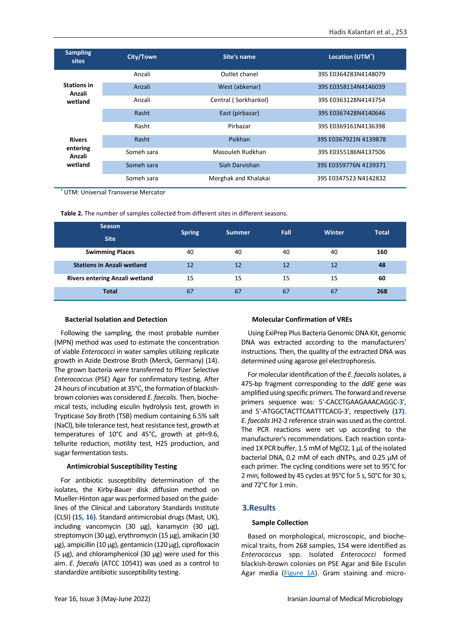| <b>Sampling</b><br>sites     | City/Town  | Site's name          | Location (UTM <sup>*</sup> ) |  |  |
|------------------------------|------------|----------------------|------------------------------|--|--|
|                              | Anzali     | Outlet chanel        | 39S E0364283N4148079         |  |  |
| <b>Stations in</b><br>Anzali | Anzali     | West (abkenar)       | 39S E0358114N4146039         |  |  |
| wetland                      | Anzali     | Central (Sorkhankol) | 39S E0363128N4143754         |  |  |
|                              | Rasht      | East (pirbazar)      | 39S E0367428N4140646         |  |  |
|                              | Rasht      | Pirbazar             | 39S E0369161N4136398         |  |  |
| <b>Rivers</b>                | Rasht      | Psikhan              | 39S E0367921N 4139878        |  |  |
| entering<br>Anzali           | Someh sara | Masouleh Rudkhan     | 39S E0355186N4137506         |  |  |
| wetland                      | Someh sara | Siah Darvishan       | 39S E0359776N 4139371        |  |  |
|                              | Someh sara | Morghak and Khalakai | 39S E0347523 N4142832        |  |  |

\* UTM: Universal Transverse Mercator

<span id="page-2-0"></span>**Table 2.** The number of samples collected from different sites in different seasons.

| <b>Season</b>                         |               | <b>Summer</b> | <b>Fall</b> | <b>Winter</b> | <b>Total</b> |
|---------------------------------------|---------------|---------------|-------------|---------------|--------------|
| <b>Site</b>                           | <b>Spring</b> |               |             |               |              |
| <b>Swimming Places</b>                | 40            | 40            | 40          | 40            | 160          |
| <b>Stations in Anzali wetland</b>     | 12            | 12            | 12          | 12            | 48           |
| <b>Rivers entering Anzali wetland</b> | 15            | 15            | 15          | 15            | 60           |
| <b>Total</b>                          | 67            | 67            | 67          | 67            | 268          |

#### **Bacterial Isolation and Detection**

Following the sampling, the most probable number (MPN) method was used to estimate the concentration of viable *Enterococci* in water samples utilizing replicate growth in Azide Dextrose Broth (Merck, Germany) (14). The grown bacteria were transferred to Pfizer Selective *Enterococcus* (PSE) Agar for confirmatory testing. After 24 hours of incubation at 35℃, the formation of blackishbrown colonies was considered *E. faecalis*. Then, biochemical tests, including esculin hydrolysis test, growth in Trypticase Soy Broth (TSB) medium containing 6.5% salt (NaCl), bile tolerance test, heat resistance test, growth at temperatures of 10°C and 45°C, growth at pH=9.6, tellurite reduction, motility test, H2S production, and sugar fermentation tests.

### **Antimicrobial Susceptibility Testing**

For antibiotic susceptibility determination of the isolates, the Kirby-Bauer disk diffusion method on Mueller-Hinton agar was performed based on the guidelines of the Clinical and Laboratory Standards Institute (CLSI) **(15, 16)**. Standard antimicrobial drugs (Mast, UK), including vancomycin (30 µg), kanamycin (30 µg), streptomycin (30 µg), erythromycin (15 µg), amikacin (30 µg), ampicillin (10 µg), gentamicin (120 µg), ciprofloxacin (5  $\mu$ g), and chloramphenicol (30  $\mu$ g) were used for this aim. *E. faecalis* (ATCC 10541) was used as a control to standardize antibiotic susceptibility testing.

#### **Molecular Confirmation of VREs**

Using ExiPrep Plus Bacteria Genomic DNA Kit, genomic DNA was extracted according to the manufacturers' instructions. Then, the quality of the extracted DNA was determined using agarose gel electrophoresis.

For molecular identification of the *E. faecalis*isolates, a 475-bp fragment corresponding to the *ddlE* gene was amplified using specific primers. The forward and reverse primers sequence was: 5'-CACCTGAAGAAACAGGC-3', and 5'-ATGGCTACTTCAATTTCACG-3', respectively **(17)**. *E. faecalis*JH2-2 reference strain was used as the control. The PCR reactions were set up according to the manufacturer's recommendations. Each reaction contained 1X PCR buffer, 1.5 mM of MgCl2, 1 μL of the isolated bacterial DNA, 0.2 mM of each dNTPs, and 0.25 μM of each primer. The cycling conditions were set to 95°C for 2 min, followed by 45 cycles at 95°C for 5 s, 50°C for 30 s, and 72°C for 1 min.

### **3.Results**

#### **Sample Collection**

Based on morphological, microscopic, and biochemical traits, from 268 samples, 154 were identified as *Enterococcus* spp. Isolated *Enterococci* formed blackish-brown colonies on PSE Agar and Bile Esculin Agar media ( $Figure 1A$ ). Gram staining and micro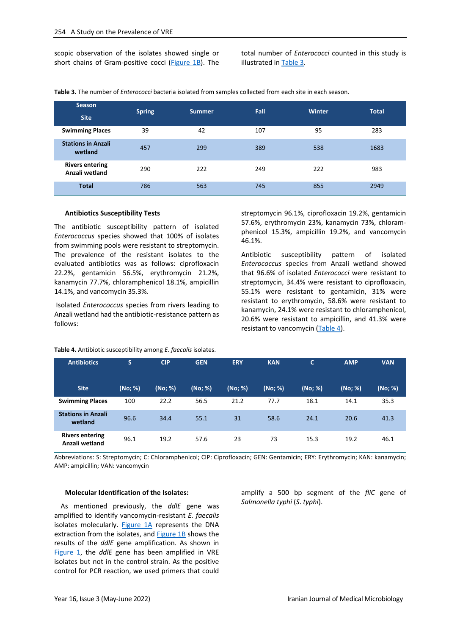scopic observation of the isolates showed single or short chains of Gram-positive cocci [\(Figure 1B\)](#page-4-0). The total number of *Enterococci* counted in this study is illustrated i[n Table 3.](#page-3-0)

<span id="page-3-0"></span>**Table 3.** The number of *Enterococci* bacteria isolated from samples collected from each site in each season.

| Season<br><b>Site</b>                    | <b>Spring</b> | Summer | <b>Fall</b> | <b>Winter</b> | <b>Total</b> |
|------------------------------------------|---------------|--------|-------------|---------------|--------------|
| <b>Swimming Places</b>                   | 39            | 42     | 107         | 95            | 283          |
| <b>Stations in Anzali</b><br>wetland     | 457           | 299    | 389         | 538           | 1683         |
| <b>Rivers entering</b><br>Anzali wetland | 290           | 222    | 249         | 222           | 983          |
| <b>Total</b>                             | 786           | 563    | 745         | 855           | 2949         |

#### **Antibiotics Susceptibility Tests**

The antibiotic susceptibility pattern of isolated *Enterococcus* species showed that 100% of isolates from swimming pools were resistant to streptomycin. The prevalence of the resistant isolates to the evaluated antibiotics was as follows: ciprofloxacin 22.2%, gentamicin 56.5%, erythromycin 21.2%, kanamycin 77.7%, chloramphenicol 18.1%, ampicillin 14.1%, and vancomycin 35.3%.

Isolated *Enterococcus* species from rivers leading to Anzali wetland had the antibiotic-resistance pattern as follows:

streptomycin 96.1%, ciprofloxacin 19.2%, gentamicin 57.6%, erythromycin 23%, kanamycin 73%, chloramphenicol 15.3%, ampicillin 19.2%, and vancomycin 46.1%.

Antibiotic susceptibility pattern of isolated *Enterococcus* species from Anzali wetland showed that 96.6% of isolated *Enterococci* were resistant to streptomycin, 34.4% were resistant to ciprofloxacin, 55.1% were resistant to gentamicin, 31% were resistant to erythromycin, 58.6% were resistant to kanamycin, 24.1% were resistant to chloramphenicol, 20.6% were resistant to ampicillin, and 41.3% were resistant to vancomycin [\(Table 4\)](#page-3-1).

| <b>Antibiotics</b>                       | S       | <b>CIP</b> | <b>GEN</b> | <b>ERY</b> | <b>KAN</b> | C       | <b>AMP</b> | <b>VAN</b> |
|------------------------------------------|---------|------------|------------|------------|------------|---------|------------|------------|
| <b>Site</b>                              | (No; %) | (No; %)    | (No; %)    | (No; %)    | (No; %)    | (No; %) | (No; %)    | (No; %)    |
| <b>Swimming Places</b>                   | 100     | 22.2       | 56.5       | 21.2       | 77.7       | 18.1    | 14.1       | 35.3       |
| <b>Stations in Anzali</b><br>wetland     | 96.6    | 34.4       | 55.1       | 31         | 58.6       | 24.1    | 20.6       | 41.3       |
| <b>Rivers entering</b><br>Anzali wetland | 96.1    | 19.2       | 57.6       | 23         | 73         | 15.3    | 19.2       | 46.1       |

<span id="page-3-1"></span>**Table 4.** Antibiotic susceptibility among *E. faecalis* isolates.

Abbreviations: S: Streptomycin; C: Chloramphenicol; CIP: Ciprofloxacin; GEN: Gentamicin; ERY: Erythromycin; KAN: kanamycin; AMP: ampicillin; VAN: vancomycin

#### **Molecular Identification of the Isolates:**

As mentioned previously, the *ddlE* gene was amplified to identify vancomycin-resistant *E. faecalis* isolates molecularly. [Figure 1A](#page-4-0) represents the DNA extraction from the isolates, and **Figure 1B** shows the results of the *ddlE* gene amplification. As shown in [Figure 1,](#page-4-0) the *ddlE* gene has been amplified in VRE isolates but not in the control strain. As the positive control for PCR reaction, we used primers that could amplify a 500 bp segment of the *fliC* gene of *Salmonella typhi* (*S*. *typhi*).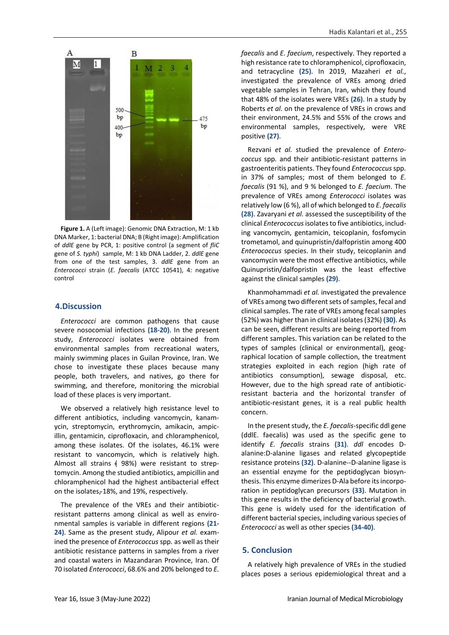

<span id="page-4-0"></span>**Figure 1.** A (Left image): Genomic DNA Extraction, M: 1 kb DNA Marker, 1: bacterial DNA; B (Right image): Amplification of *ddlE* gene by PCR, 1: positive control (a segment of *fliC* gene of *S. typhi*) sample, M: 1 kb DNA Ladder, 2. *ddlE* gene from one of the test samples, 3. *ddlE* gene from an *Enterococci* strain (*E. faecalis* (ATCC 10541), 4: negative control

### **4.Discussion**

*Enterococci* are common pathogens that cause severe nosocomial infections **(18-20)**. In the present study, *Enterococci* isolates were obtained from environmental samples from recreational waters, mainly swimming places in Guilan Province, Iran. We chose to investigate these places because many people, both travelers, and natives, go there for swimming, and therefore, monitoring the microbial load of these places is very important.

We observed a relatively high resistance level to different antibiotics, including vancomycin, kanamycin, streptomycin, erythromycin, amikacin, ampicillin, gentamicin, ciprofloxacin, and chloramphenicol, among these isolates. Of the isolates, 46.1% were resistant to vancomycin, which is relatively high. Almost all strains  $(98%)$  were resistant to streptomycin. Among the studied antibiotics, ampicillin and chloramphenicol had the highest antibacterial effect on the isolates, 18%, and 19%, respectively.

The prevalence of the VREs and their antibioticresistant patterns among clinical as well as environmental samples is variable in different regions **(21- 24)**. Same as the present study, Alipour *et al.* examined the presence of *Enterococcus* spp*.* as well as their antibiotic resistance patterns in samples from a river and coastal waters in Mazandaran Province, Iran. Of 70 isolated *Enterococci*, 68.6% and 20% belonged to *E.*  *faecalis* and *E. faecium*, respectively. They reported a high resistance rate to chloramphenicol, ciprofloxacin, and tetracycline **(25)**. In 2019, Mazaheri *et al.*, investigated the prevalence of VREs among dried vegetable samples in Tehran, Iran, which they found that 48% of the isolates were VREs **(26)**. In a study by Roberts *et al.* on the prevalence of VREs in crows and their environment, 24.5% and 55% of the crows and environmental samples, respectively, were VRE positive **(27)**.

Rezvani *et al.* studied the prevalence of *Enterococcus* spp*.* and their antibiotic-resistant patterns in gastroenteritis patients. They found *Enterococcus* spp*.* in 37% of samples; most of them belonged to *E. faecalis* (91 %), and 9 % belonged to *E. faecium*. The prevalence of VREs among *Enterococci* isolates was relatively low (6 %), all of which belonged to *E. faecalis* **(28)**. Zavaryani *et al.* assessed the susceptibility of the clinical *Enterococcus*isolates to five antibiotics, including vancomycin, gentamicin, teicoplanin, fosfomycin trometamol, and quinupristin/dalfopristin among 400 *Enterococcus* species. In their study, teicoplanin and vancomycin were the most effective antibiotics, while Quinupristin/dalfopristin was the least effective against the clinical samples **(29)**.

Khanmohammadi *et al.* investigated the prevalence of VREs among two different sets of samples, fecal and clinical samples. The rate of VREs among fecal samples (52%) was higher than in clinical isolates (32%) **(30)**. As can be seen, different results are being reported from different samples. This variation can be related to the types of samples (clinical or environmental), geographical location of sample collection, the treatment strategies exploited in each region (high rate of antibiotics consumption), sewage disposal, etc. However, due to the high spread rate of antibioticresistant bacteria and the horizontal transfer of antibiotic-resistant genes, it is a real public health concern.

In the present study, the *E. faecalis*-specific ddl gene (ddlE. faecalis) was used as the specific gene to identify *E. faecalis* strains **(31)**. *ddl* encodes Dalanine:D-alanine ligases and related glycopeptide resistance proteins **(32)**. D-alanine--D-alanine ligase is an essential enzyme for the peptidoglycan biosynthesis. This enzyme dimerizes D-Ala before its incorporation in peptidoglycan precursors **(33)**. Mutation in this gene results in the deficiency of bacterial growth. This gene is widely used for the identification of different bacterial species, including various species of *Enterococci* as well as other species **(34-40)**.

# **5. Conclusion**

A relatively high prevalence of VREs in the studied places poses a serious epidemiological threat and a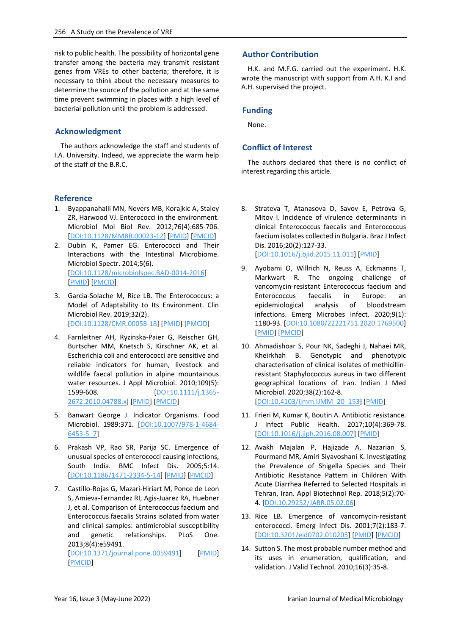risk to public health. The possibility of horizontal gene transfer among the bacteria may transmit resistant genes from VREs to other bacteria; therefore, it is necessary to think about the necessary measures to determine the source of the pollution and at the same time prevent swimming in places with a high level of bacterial pollution until the problem is addressed.

# **Acknowledgment**

The authors acknowledge the staff and students of I.A. University. Indeed, we appreciate the warm help of the staff of the B.R.C.

### **Reference**

- 1. Byappanahalli MN, Nevers MB, Korajkic A, Staley ZR, Harwood VJ. Enterococci in the environment. Microbiol Mol Biol Rev. 2012;76(4):685-706. [\[DOI:10.1128/MMBR.00023-12\]](https://doi.org/10.1128/MMBR.00023-12) [\[PMID\]](https://www.ncbi.nlm.nih.gov/pubmed/23204362) [\[PMCID\]](http://www.ncbi.nlm.nih.gov/pmc/articles/PMC3510518)
- 2. Dubin K, Pamer EG. Enterococci and Their Interactions with the Intestinal Microbiome. Microbiol Spectr. 2014;5(6). [\[DOI:10.1128/microbiolspec.BAD-0014-2016\]](https://doi.org/10.1128/microbiolspec.BAD-0014-2016) [\[PMID\]](https://www.ncbi.nlm.nih.gov/pubmed/29125098) [\[PMCID\]](http://www.ncbi.nlm.nih.gov/pmc/articles/PMC5691600)
- 3. Garcia-Solache M, Rice LB. The Enterococcus: a Model of Adaptability to Its Environment. Clin Microbiol Rev. 2019;32(2). [\[DOI:10.1128/CMR.00058-18\]](https://doi.org/10.1128/CMR.00058-18) [\[PMID\]](https://www.ncbi.nlm.nih.gov/pubmed/30700430) [\[PMCID\]](http://www.ncbi.nlm.nih.gov/pmc/articles/PMC6431128)
- 4. Farnleitner AH, Ryzinska-Paier G, Reischer GH, Burtscher MM, Knetsch S, Kirschner AK, et al. Escherichia coli and enterococci are sensitive and reliable indicators for human, livestock and wildlife faecal pollution in alpine mountainous water resources. J Appl Microbiol. 2010;109(5):<br>1599-608. [DOI:10.1111/i.1365-[\[DOI:10.1111/j.1365-](https://doi.org/10.1111/j.1365-2672.2010.04788.x) [2672.2010.04788.x\]](https://doi.org/10.1111/j.1365-2672.2010.04788.x) [\[PMID\]](https://www.ncbi.nlm.nih.gov/pubmed/20629798) [\[PMCID\]](http://www.ncbi.nlm.nih.gov/pmc/articles/PMC3154642)
- 5. Banwart George J. Indicator Organisms. Food Microbiol. 1989:371. [\[DOI:10.1007/978-1-4684-](https://doi.org/10.1007/978-1-4684-6453-5_7) [6453-5\\_7\]](https://doi.org/10.1007/978-1-4684-6453-5_7)
- 6. Prakash VP, Rao SR, Parija SC. Emergence of unusual species of enterococci causing infections, South India. BMC Infect Dis. 2005;5:14. [\[DOI:10.1186/1471-2334-5-14\]](https://doi.org/10.1186/1471-2334-5-14) [\[PMID\]](https://www.ncbi.nlm.nih.gov/pubmed/15774018) [\[PMCID\]](http://www.ncbi.nlm.nih.gov/pmc/articles/PMC555955)
- 7. Castillo-Rojas G, Mazari-Hiriart M, Ponce de Leon S, Amieva-Fernandez RI, Agis-Juarez RA, Huebner J, et al. Comparison of Enterococcus faecium and Enterococcus faecalis Strains isolated from water and clinical samples: antimicrobial susceptibility and genetic relationships. PLoS One. 2013;8(4):e59491. [\[DOI:10.1371/journal.pone.0059491\]](https://doi.org/10.1371/journal.pone.0059491) [\[PMID\]](https://www.ncbi.nlm.nih.gov/pubmed/23560050) [\[PMCID\]](http://www.ncbi.nlm.nih.gov/pmc/articles/PMC3613387)

# **Author Contribution**

H.K. and M.F.G. carried out the experiment. H.K. wrote the manuscript with support from A.H. K.I and A.H. supervised the project.

# **Funding**

None.

# **Conflict of Interest**

The authors declared that there is no conflict of interest regarding this article.

- 8. Strateva T, Atanasova D, Savov E, Petrova G, Mitov I. Incidence of virulence determinants in clinical Enterococcus faecalis and Enterococcus faecium isolates collected in Bulgaria. Braz J Infect Dis. 2016;20(2):127-33. [\[DOI:10.1016/j.bjid.2015.11.011\]](https://doi.org/10.1016/j.bjid.2015.11.011) [\[PMID\]](https://www.ncbi.nlm.nih.gov/pubmed/26849965)
- 9. Ayobami O, Willrich N, Reuss A, Eckmanns T, Markwart R. The ongoing challenge of vancomycin-resistant Enterococcus faecium and Enterococcus faecalis in Europe: an epidemiological analysis of bloodstream infections. Emerg Microbes Infect. 2020;9(1): 1180-93. [\[DOI:10.1080/22221751.2020.1769500\]](https://doi.org/10.1080/22221751.2020.1769500) [\[PMID\]](https://www.ncbi.nlm.nih.gov/pubmed/32498615) [\[PMCID\]](http://www.ncbi.nlm.nih.gov/pmc/articles/PMC7448851)
- 10. Ahmadishoar S, Pour NK, Sadeghi J, Nahaei MR, Kheirkhah B. Genotypic and phenotypic characterisation of clinical isolates of methicillinresistant Staphylococcus aureus in two different geographical locations of Iran. Indian J Med Microbiol. 2020;38(2):162-8. [\[DOI:10.4103/ijmm.IJMM\\_20\\_153\]](https://doi.org/10.4103/ijmm.IJMM_20_153) [\[PMID\]](https://www.ncbi.nlm.nih.gov/pubmed/32883929)
- 11. Frieri M, Kumar K, Boutin A. Antibiotic resistance. J Infect Public Health. 2017;10(4):369-78. [\[DOI:10.1016/j.jiph.2016.08.007\]](https://doi.org/10.1016/j.jiph.2016.08.007) [\[PMID\]](https://www.ncbi.nlm.nih.gov/pubmed/27616769)
- 12. Avakh Majalan P, Hajizade A, Nazarian S, Pourmand MR, Amiri Siyavoshani K. Investigating the Prevalence of Shigella Species and Their Antibiotic Resistance Pattern in Children With Acute Diarrhea Referred to Selected Hospitals in Tehran, Iran. Appl Biotechnol Rep. 2018;5(2):70- 4. [\[DOI:10.29252/JABR.05.02.06\]](https://doi.org/10.29252/JABR.05.02.06)
- 13. Rice LB. Emergence of vancomycin-resistant enterococci. Emerg Infect Dis. 2001;7(2):183-7. [\[DOI:10.3201/eid0702.010205\]](https://doi.org/10.3201/eid0702.010205) [\[PMID\]](https://www.ncbi.nlm.nih.gov/pubmed/11294702) [\[PMCID\]](http://www.ncbi.nlm.nih.gov/pmc/articles/PMC2631700)
- 14. Sutton S. The most probable number method and its uses in enumeration, qualification, and validation. J Valid Technol. 2010;16(3):35-8.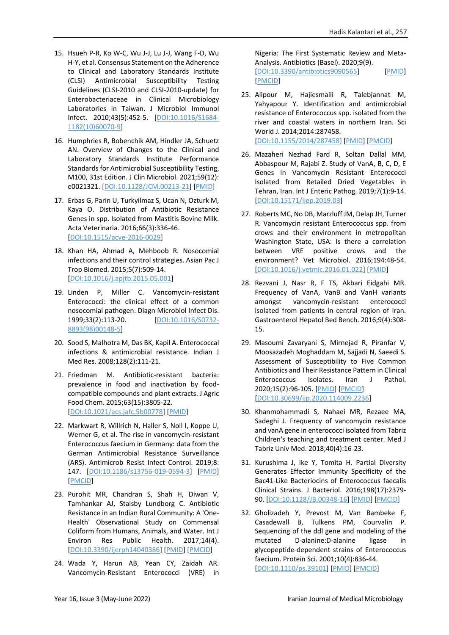- 15. Hsueh P-R, Ko W-C, Wu J-J, Lu J-J, Wang F-D, Wu H-Y, et al. Consensus Statement on the Adherence to Clinical and Laboratory Standards Institute (CLSI) Antimicrobial Susceptibility Testing Guidelines (CLSI-2010 and CLSI-2010-update) for Enterobacteriaceae in Clinical Microbiology Laboratories in Taiwan. J Microbiol Immunol Infect. 2010;43(5):452-5. [\[DOI:10.1016/S1684-](https://doi.org/10.1016/S1684-1182(10)60070-9) [1182\(10\)60070-9\]](https://doi.org/10.1016/S1684-1182(10)60070-9)
- 16. Humphries R, Bobenchik AM, Hindler JA, Schuetz AN. Overview of Changes to the Clinical and Laboratory Standards Institute Performance Standards for Antimicrobial Susceptibility Testing, M100, 31st Edition. J Clin Microbiol. 2021;59(12): e0021321. [\[DOI:10.1128/JCM.00213-21\]](https://doi.org/10.1128/JCM.00213-21) [\[PMID\]](https://www.ncbi.nlm.nih.gov/pubmed/34550809)
- 17. Erbas G, Parin U, Turkyilmaz S, Ucan N, Ozturk M, Kaya O. Distribution of Antibiotic Resistance Genes in spp. Isolated from Mastitis Bovine Milk. Acta Veterinaria. 2016;66(3):336-46. [\[DOI:10.1515/acve-2016-0029\]](https://doi.org/10.1515/acve-2016-0029)
- 18. Khan HA, Ahmad A, Mehboob R. Nosocomial infections and their control strategies. Asian Pac J Trop Biomed. 2015;5(7):509-14. [\[DOI:10.1016/j.apjtb.2015.05.001\]](https://doi.org/10.1016/j.apjtb.2015.05.001)
- 19. Linden P, Miller C. Vancomycin-resistant Enterococci: the clinical effect of a common nosocomial pathogen. Diagn Microbiol Infect Dis. 1999;33(2):113-20. [\[DOI:10.1016/S0732-](https://doi.org/10.1016/S0732-8893(98)00148-5) [8893\(98\)00148-5\]](https://doi.org/10.1016/S0732-8893(98)00148-5)
- 20. Sood S, Malhotra M, Das BK, Kapil A. Enterococcal infections & antimicrobial resistance. Indian J Med Res. 2008;128(2):111-21.
- 21. Friedman M. Antibiotic-resistant bacteria: prevalence in food and inactivation by foodcompatible compounds and plant extracts. J Agric Food Chem. 2015;63(15):3805-22. [\[DOI:10.1021/acs.jafc.5b00778\]](https://doi.org/10.1021/acs.jafc.5b00778) [\[PMID\]](https://www.ncbi.nlm.nih.gov/pubmed/25856120)
- 22. Markwart R, Willrich N, Haller S, Noll I, Koppe U, Werner G, et al. The rise in vancomycin-resistant Enterococcus faecium in Germany: data from the German Antimicrobial Resistance Surveillance (ARS). Antimicrob Resist Infect Control. 2019;8: 147. [\[DOI:10.1186/s13756-019-0594-3\]](https://doi.org/10.1186/s13756-019-0594-3) [\[PMID\]](https://www.ncbi.nlm.nih.gov/pubmed/31485325) [\[PMCID\]](http://www.ncbi.nlm.nih.gov/pmc/articles/PMC6712849)
- 23. Purohit MR, Chandran S, Shah H, Diwan V, Tamhankar AJ, Stalsby Lundborg C. Antibiotic Resistance in an Indian Rural Community: A 'One-Health' Observational Study on Commensal Coliform from Humans, Animals, and Water. Int J Environ Res Public Health. 2017;14(4). [\[DOI:10.3390/ijerph14040386\]](https://doi.org/10.3390/ijerph14040386) [\[PMID\]](https://www.ncbi.nlm.nih.gov/pubmed/28383517) [\[PMCID\]](http://www.ncbi.nlm.nih.gov/pmc/articles/PMC5409587)
- 24. Wada Y, Harun AB, Yean CY, Zaidah AR. Vancomycin-Resistant Enterococci (VRE) in

Nigeria: The First Systematic Review and Meta-Analysis. Antibiotics (Basel). 2020;9(9). [\[DOI:10.3390/antibiotics9090565\]](https://doi.org/10.3390/antibiotics9090565) [\[PMID\]](https://www.ncbi.nlm.nih.gov/pubmed/32882963) [\[PMCID\]](http://www.ncbi.nlm.nih.gov/pmc/articles/PMC7558171)

- 25. Alipour M, Hajiesmaili R, Talebjannat M, Yahyapour Y. Identification and antimicrobial resistance of Enterococcus spp. isolated from the river and coastal waters in northern Iran. Sci World J. 2014;2014:287458. [\[DOI:10.1155/2014/287458\]](https://doi.org/10.1155/2014/287458) [\[PMID\]](https://www.ncbi.nlm.nih.gov/pubmed/25525617) [\[PMCID\]](http://www.ncbi.nlm.nih.gov/pmc/articles/PMC4261842)
- 26. Mazaheri Nezhad Fard R, Soltan Dallal MM, Abbaspour M, Rajabi Z. Study of VanA, B, C, D, E Genes in Vancomycin Resistant Enterococci Isolated from Retailed Dried Vegetables in Tehran, Iran. Int J Enteric Pathog. 2019;7(1):9-14. [\[DOI:10.15171/ijep.2019.03\]](https://doi.org/10.15171/ijep.2019.03)
- 27. Roberts MC, No DB, Marzluff JM, Delap JH, Turner R. Vancomycin resistant Enterococcus spp. from crows and their environment in metropolitan Washington State, USA: Is there a correlation between VRE positive crows and the environment? Vet Microbiol. 2016;194:48-54. [\[DOI:10.1016/j.vetmic.2016.01.022\]](https://doi.org/10.1016/j.vetmic.2016.01.022) [\[PMID\]](https://www.ncbi.nlm.nih.gov/pubmed/26876004)
- 28. Rezvani J, Nasr R, F TS, Akbari Eidgahi MR. Frequency of VanA, VanB and VanH variants amongst vancomycin-resistant enterococci isolated from patients in central region of Iran. Gastroenterol Hepatol Bed Bench. 2016;9(4):308- 15.
- 29. Masoumi Zavaryani S, Mirnejad R, Piranfar V, Moosazadeh Moghaddam M, Sajjadi N, Saeedi S. Assessment of Susceptibility to Five Common Antibiotics and Their Resistance Pattern in Clinical Enterococcus Isolates. Iran J Pathol. 2020;15(2):96-105. [\[PMID\]](https://www.ncbi.nlm.nih.gov/pubmed/32215025) [\[PMCID\]](http://www.ncbi.nlm.nih.gov/pmc/articles/PMC7081761) [\[DOI:10.30699/ijp.2020.114009.2236\]](https://doi.org/10.30699/ijp.2020.114009.2236)
- 30. Khanmohammadi S, Nahaei MR, Rezaee MA, Sadeghi J. Frequency of vancomycin resistance and vanA gene in enterococci isolated from Tabriz Children's teaching and treatment center. Med J Tabriz Univ Med. 2018;40(4):16-23.
- 31. Kurushima J, Ike Y, Tomita H. Partial Diversity Generates Effector Immunity Specificity of the Bac41-Like Bacteriocins of Enterococcus faecalis Clinical Strains. J Bacteriol. 2016;198(17):2379- 90. [\[DOI:10.1128/JB.00348-16\]](https://doi.org/10.1128/JB.00348-16) [\[PMID\]](https://www.ncbi.nlm.nih.gov/pubmed/27353651) [\[PMCID\]](http://www.ncbi.nlm.nih.gov/pmc/articles/PMC4984558)
- 32. Gholizadeh Y, Prevost M, Van Bambeke F, Casadewall B, Tulkens PM, Courvalin P. Sequencing of the ddl gene and modeling of the mutated D-alanine:D-alanine ligase in glycopeptide-dependent strains of Enterococcus faecium. Protein Sci. 2001;10(4):836-44. [\[DOI:10.1110/ps.39101\]](https://doi.org/10.1110/ps.39101) [\[PMID\]](https://www.ncbi.nlm.nih.gov/pubmed/11274474) [\[PMCID\]](http://www.ncbi.nlm.nih.gov/pmc/articles/PMC2373979)